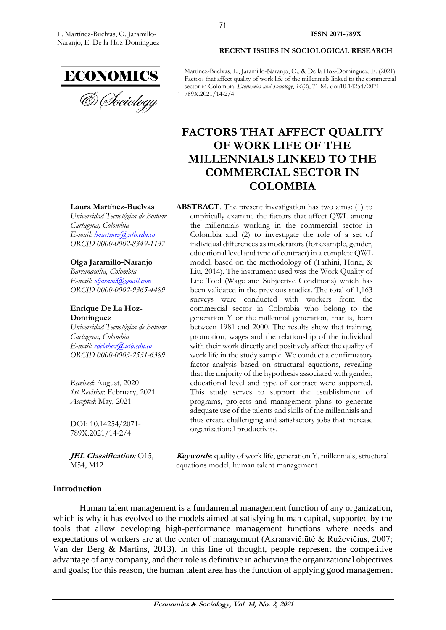

& Sociology

Martínez-Buelvas, L., Jaramillo-Naranjo, O., & De la Hoz-Dominguez, E. (2021). Factors that affect quality of work life of the millennials linked to the commercial sector in Colombia. *Economics and Sociology*, *14*(2), 71-84. doi:10.14254/2071- 789X.2021/14-2/4

**RECENT ISSUES IN SOCIOLOGICAL RESEARCH**

# **FACTORS THAT AFFECT QUALITY OF WORK LIFE OF THE MILLENNIALS LINKED TO THE COMMERCIAL SECTOR IN COLOMBIA**

**ABSTRACT**. The present investigation has two aims: (1) to

#### **Laura Martínez-Buelvas**

*Universidad Tecnológica de Bolívar [Cartagena,](https://en.wikipedia.org/wiki/Podgorica) Colombia E-mail: [lmartinez@utb.edu.co](mailto:lmartinez@utb.edu.co) ORCID 0000-0002-8349-1137*

#### **Olga Jaramillo-Naranjo**

*Barranquilla, Colombia E-mail: [oljarami@gmail.com](mailto:oljarami@gmail.com) ORCID 0000-0002-9365-4489*

#### **Enrique De La Hoz-Dominguez**

*Universidad Tecnológica de Bolívar Cartagena, Colombia E-mail: [edelahoz@utb.edu.co](mailto:edelahoz@utb.edu.co) ORCID 0000-0003-2531-6389*

*Received*: August, 2020 *1st Revision*: February, 2021 *Accepted*: May, 2021

DOI: 10.14254/2071- 789X.2021/14-2/4

**JEL Classification***:* O15, M54, M12

empirically examine the factors that affect QWL among the millennials working in the commercial sector in Colombia and (2) to investigate the role of a set of individual differences as moderators (for example, gender, educational level and type of contract) in a complete QWL model, based on the methodology of (Tarhini, Hone, & Liu, 2014). The instrument used was the Work Quality of Life Tool (Wage and Subjective Conditions) which has been validated in the previous studies. The total of 1,163 surveys were conducted with workers from the commercial sector in Colombia who belong to the generation Y or the millennial generation, that is, born between 1981 and 2000. The results show that training, promotion, wages and the relationship of the individual with their work directly and positively affect the quality of work life in the study sample. We conduct a confirmatory factor analysis based on structural equations, revealing that the majority of the hypothesis associated with gender, educational level and type of contract were supported. This study serves to support the establishment of programs, projects and management plans to generate adequate use of the talents and skills of the millennials and thus create challenging and satisfactory jobs that increase organizational productivity.

**Keywords**: quality of work life, generation Y, millennials, structural equations model, human talent management

## **Introduction**

Human talent management is a fundamental management function of any organization, which is why it has evolved to the models aimed at satisfying human capital, supported by the tools that allow developing high-performance management functions where needs and expectations of workers are at the center of management (Akranavičiūtė & Ruževičius, 2007; Van der Berg & Martins, 2013). In this line of thought, people represent the competitive advantage of any company, and their role is definitive in achieving the organizational objectives and goals; for this reason, the human talent area has the function of applying good management

71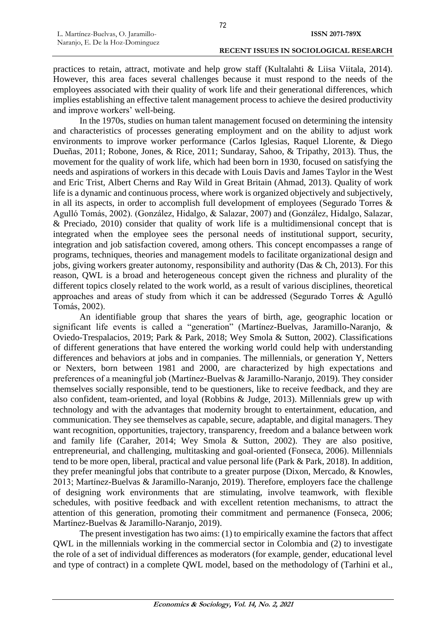practices to retain, attract, motivate and help grow staff (Kultalahti & Liisa Viitala, 2014). However, this area faces several challenges because it must respond to the needs of the employees associated with their quality of work life and their generational differences, which implies establishing an effective talent management process to achieve the desired productivity and improve workers' well-being.

In the 1970s, studies on human talent management focused on determining the intensity and characteristics of processes generating employment and on the ability to adjust work environments to improve worker performance (Carlos Iglesias, Raquel Llorente, & Diego Dueñas, 2011; Robone, Jones, & Rice, 2011; Sundaray, Sahoo, & Tripathy, 2013). Thus, the movement for the quality of work life, which had been born in 1930, focused on satisfying the needs and aspirations of workers in this decade with Louis Davis and James Taylor in the West and Eric Trist, Albert Cherns and Ray Wild in Great Britain (Ahmad, 2013). Quality of work life is a dynamic and continuous process, where work is organized objectively and subjectively, in all its aspects, in order to accomplish full development of employees (Segurado Torres & Agulló Tomás, 2002). (González, Hidalgo, & Salazar, 2007) and (González, Hidalgo, Salazar, & Preciado, 2010) consider that quality of work life is a multidimensional concept that is integrated when the employee sees the personal needs of institutional support, security, integration and job satisfaction covered, among others. This concept encompasses a range of programs, techniques, theories and management models to facilitate organizational design and jobs, giving workers greater autonomy, responsibility and authority (Das & Ch, 2013). For this reason, QWL is a broad and heterogeneous concept given the richness and plurality of the different topics closely related to the work world, as a result of various disciplines, theoretical approaches and areas of study from which it can be addressed (Segurado Torres & Agulló Tomás, 2002).

An identifiable group that shares the years of birth, age, geographic location or significant life events is called a "generation" (Martínez-Buelvas, Jaramillo-Naranjo, & Oviedo-Trespalacios, 2019; Park & Park, 2018; Wey Smola & Sutton, 2002). Classifications of different generations that have entered the working world could help with understanding differences and behaviors at jobs and in companies. The millennials, or generation Y, Netters or Nexters, born between 1981 and 2000, are characterized by high expectations and preferences of a meaningful job (Martínez-Buelvas & Jaramillo-Naranjo, 2019). They consider themselves socially responsible, tend to be questioners, like to receive feedback, and they are also confident, team-oriented, and loyal (Robbins & Judge, 2013). Millennials grew up with technology and with the advantages that modernity brought to entertainment, education, and communication. They see themselves as capable, secure, adaptable, and digital managers. They want recognition, opportunities, trajectory, transparency, freedom and a balance between work and family life (Caraher, 2014; Wey Smola & Sutton, 2002). They are also positive, entrepreneurial, and challenging, multitasking and goal-oriented (Fonseca, 2006). Millennials tend to be more open, liberal, practical and value personal life (Park & Park, 2018). In addition, they prefer meaningful jobs that contribute to a greater purpose (Dixon, Mercado, & Knowles, 2013; Martínez-Buelvas & Jaramillo-Naranjo, 2019). Therefore, employers face the challenge of designing work environments that are stimulating, involve teamwork, with flexible schedules, with positive feedback and with excellent retention mechanisms, to attract the attention of this generation, promoting their commitment and permanence (Fonseca, 2006; Martínez-Buelvas & Jaramillo-Naranjo, 2019).

The present investigation has two aims: (1) to empirically examine the factors that affect QWL in the millennials working in the commercial sector in Colombia and (2) to investigate the role of a set of individual differences as moderators (for example, gender, educational level and type of contract) in a complete QWL model, based on the methodology of (Tarhini et al.,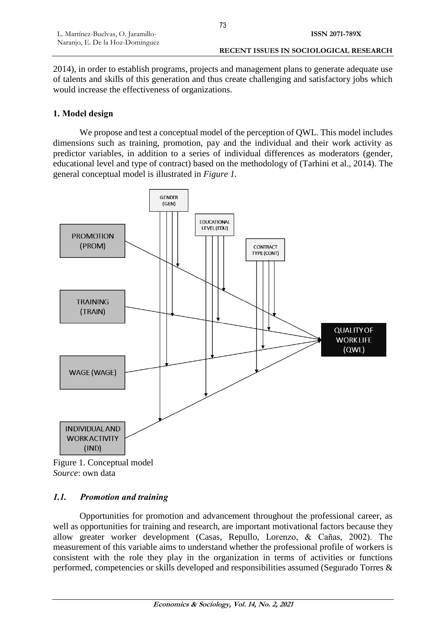2014), in order to establish programs, projects and management plans to generate adequate use of talents and skills of this generation and thus create challenging and satisfactory jobs which would increase the effectiveness of organizations.

# **1. Model design**

We propose and test a conceptual model of the perception of QWL. This model includes dimensions such as training, promotion, pay and the individual and their work activity as predictor variables, in addition to a series of individual differences as moderators (gender, educational level and type of contract) based on the methodology of (Tarhini et al., 2014). The general conceptual model is illustrated in *Figure 1.*



Figure 1. Conceptual model *Source*: own data

# *1.1. Promotion and training*

Opportunities for promotion and advancement throughout the professional career, as well as opportunities for training and research, are important motivational factors because they allow greater worker development (Casas, Repullo, Lorenzo, & Cañas, 2002). The measurement of this variable aims to understand whether the professional profile of workers is consistent with the role they play in the organization in terms of activities or functions performed, competencies or skills developed and responsibilities assumed (Segurado Torres &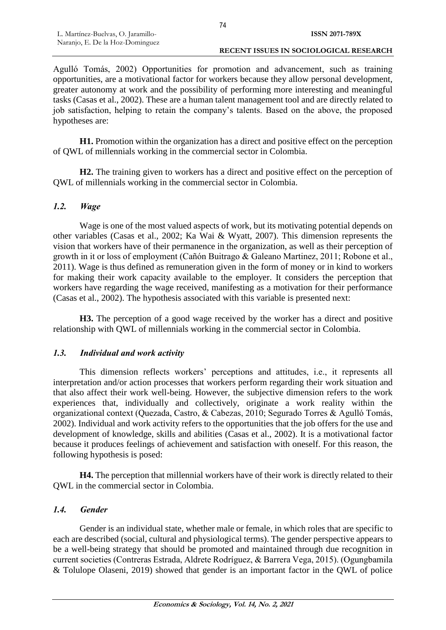#### **RECENT ISSUES IN SOCIOLOGICAL RESEARCH**

Agulló Tomás, 2002) Opportunities for promotion and advancement, such as training opportunities, are a motivational factor for workers because they allow personal development, greater autonomy at work and the possibility of performing more interesting and meaningful tasks (Casas et al., 2002). These are a human talent management tool and are directly related to job satisfaction, helping to retain the company's talents. Based on the above, the proposed hypotheses are:

**H1.** Promotion within the organization has a direct and positive effect on the perception of QWL of millennials working in the commercial sector in Colombia.

**H2.** The training given to workers has a direct and positive effect on the perception of QWL of millennials working in the commercial sector in Colombia.

## *1.2. Wage*

Wage is one of the most valued aspects of work, but its motivating potential depends on other variables (Casas et al., 2002; Ka Wai & Wyatt, 2007). This dimension represents the vision that workers have of their permanence in the organization, as well as their perception of growth in it or loss of employment (Cañón Buitrago & Galeano Martinez, 2011; Robone et al., 2011). Wage is thus defined as remuneration given in the form of money or in kind to workers for making their work capacity available to the employer. It considers the perception that workers have regarding the wage received, manifesting as a motivation for their performance (Casas et al., 2002). The hypothesis associated with this variable is presented next:

**H3.** The perception of a good wage received by the worker has a direct and positive relationship with QWL of millennials working in the commercial sector in Colombia.

## *1.3. Individual and work activity*

This dimension reflects workers' perceptions and attitudes, i.e., it represents all interpretation and/or action processes that workers perform regarding their work situation and that also affect their work well-being. However, the subjective dimension refers to the work experiences that, individually and collectively, originate a work reality within the organizational context (Quezada, Castro, & Cabezas, 2010; Segurado Torres & Agulló Tomás, 2002). Individual and work activity refers to the opportunities that the job offers for the use and development of knowledge, skills and abilities (Casas et al., 2002). It is a motivational factor because it produces feelings of achievement and satisfaction with oneself. For this reason, the following hypothesis is posed:

**H4.** The perception that millennial workers have of their work is directly related to their QWL in the commercial sector in Colombia.

## *1.4. Gender*

Gender is an individual state, whether male or female, in which roles that are specific to each are described (social, cultural and physiological terms). The gender perspective appears to be a well-being strategy that should be promoted and maintained through due recognition in current societies (Contreras Estrada, Aldrete Rodríguez, & Barrera Vega, 2015). (Ogungbamila & Tolulope Olaseni, 2019) showed that gender is an important factor in the QWL of police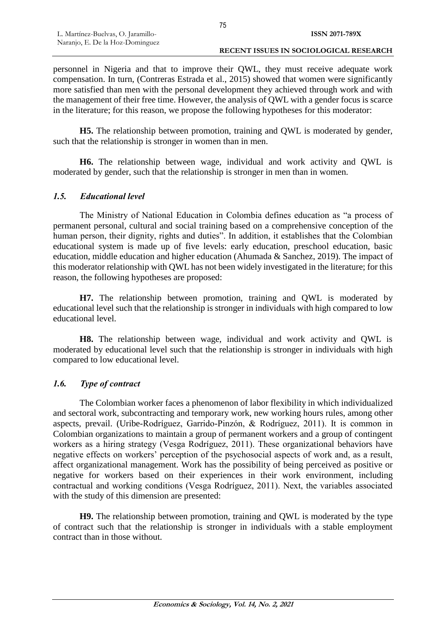personnel in Nigeria and that to improve their QWL, they must receive adequate work compensation. In turn, (Contreras Estrada et al., 2015) showed that women were significantly more satisfied than men with the personal development they achieved through work and with the management of their free time. However, the analysis of QWL with a gender focus is scarce in the literature; for this reason, we propose the following hypotheses for this moderator:

**H5.** The relationship between promotion, training and QWL is moderated by gender, such that the relationship is stronger in women than in men.

**H6.** The relationship between wage, individual and work activity and QWL is moderated by gender, such that the relationship is stronger in men than in women.

# *1.5. Educational level*

The Ministry of National Education in Colombia defines education as "a process of permanent personal, cultural and social training based on a comprehensive conception of the human person, their dignity, rights and duties". In addition, it establishes that the Colombian educational system is made up of five levels: early education, preschool education, basic education, middle education and higher education (Ahumada & Sanchez, 2019). The impact of this moderator relationship with QWL has not been widely investigated in the literature; for this reason, the following hypotheses are proposed:

**H7.** The relationship between promotion, training and QWL is moderated by educational level such that the relationship is stronger in individuals with high compared to low educational level.

**H8.** The relationship between wage, individual and work activity and QWL is moderated by educational level such that the relationship is stronger in individuals with high compared to low educational level.

# *1.6. Type of contract*

The Colombian worker faces a phenomenon of labor flexibility in which individualized and sectoral work, subcontracting and temporary work, new working hours rules, among other aspects, prevail. (Uribe-Rodríguez, Garrido-Pinzón, & Rodríguez, 2011). It is common in Colombian organizations to maintain a group of permanent workers and a group of contingent workers as a hiring strategy (Vesga Rodríguez, 2011). These organizational behaviors have negative effects on workers' perception of the psychosocial aspects of work and, as a result, affect organizational management. Work has the possibility of being perceived as positive or negative for workers based on their experiences in their work environment, including contractual and working conditions (Vesga Rodríguez, 2011). Next, the variables associated with the study of this dimension are presented:

**H9.** The relationship between promotion, training and QWL is moderated by the type of contract such that the relationship is stronger in individuals with a stable employment contract than in those without.

75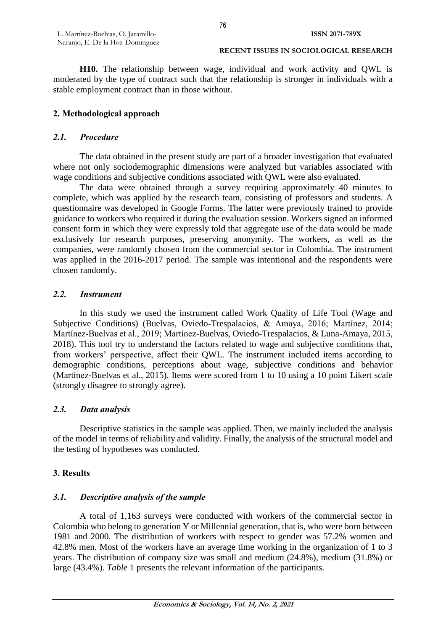**H10.** The relationship between wage, individual and work activity and QWL is moderated by the type of contract such that the relationship is stronger in individuals with a stable employment contract than in those without.

# **2. Methodological approach**

## *2.1. Procedure*

The data obtained in the present study are part of a broader investigation that evaluated where not only sociodemographic dimensions were analyzed but variables associated with wage conditions and subjective conditions associated with QWL were also evaluated.

The data were obtained through a survey requiring approximately 40 minutes to complete, which was applied by the research team, consisting of professors and students. A questionnaire was developed in Google Forms. The latter were previously trained to provide guidance to workers who required it during the evaluation session. Workers signed an informed consent form in which they were expressly told that aggregate use of the data would be made exclusively for research purposes, preserving anonymity. The workers, as well as the companies, were randomly chosen from the commercial sector in Colombia. The instrument was applied in the 2016-2017 period. The sample was intentional and the respondents were chosen randomly.

## *2.2. Instrument*

In this study we used the instrument called Work Quality of Life Tool (Wage and Subjective Conditions) (Buelvas, Oviedo-Trespalacios, & Amaya, 2016; Martínez, 2014; Martínez-Buelvas et al., 2019; Martínez-Buelvas, Oviedo-Trespalacios, & Luna-Amaya, 2015, 2018). This tool try to understand the factors related to wage and subjective conditions that, from workers' perspective, affect their QWL. The instrument included items according to demographic conditions, perceptions about wage, subjective conditions and behavior (Martínez-Buelvas et al., 2015). Items were scored from 1 to 10 using a 10 point Likert scale (strongly disagree to strongly agree).

## *2.3. Data analysis*

Descriptive statistics in the sample was applied. Then, we mainly included the analysis of the model in terms of reliability and validity. Finally, the analysis of the structural model and the testing of hypotheses was conducted.

## **3. Results**

## *3.1. Descriptive analysis of the sample*

A total of 1,163 surveys were conducted with workers of the commercial sector in Colombia who belong to generation Y or Millennial generation, that is, who were born between 1981 and 2000. The distribution of workers with respect to gender was 57.2% women and 42.8% men. Most of the workers have an average time working in the organization of 1 to 3 years. The distribution of company size was small and medium (24.8%), medium (31.8%) or large (43.4%). *Table* 1 presents the relevant information of the participants.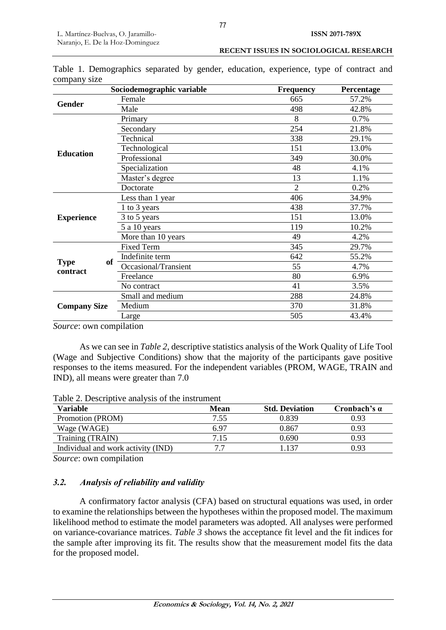**RECENT ISSUES IN SOCIOLOGICAL RESEARCH**

|  | Table 1. Demographics separated by gender, education, experience, type of contract and |  |  |  |  |
|--|----------------------------------------------------------------------------------------|--|--|--|--|

| company size            | Sociodemographic variable | <b>Frequency</b> | Percentage |
|-------------------------|---------------------------|------------------|------------|
|                         | Female                    | 665              | 57.2%      |
| <b>Gender</b>           | Male                      | 498              | 42.8%      |
|                         | Primary                   | 8                | 0.7%       |
|                         | Secondary                 | 254              | 21.8%      |
|                         | Technical                 | 338              | 29.1%      |
| <b>Education</b>        | Technological             | 151              | 13.0%      |
|                         | Professional              | 349              | 30.0%      |
|                         | Specialization            | 48               | 4.1%       |
|                         | Master's degree           | 13               | 1.1%       |
|                         | Doctorate                 | $\overline{2}$   | 0.2%       |
|                         | Less than 1 year          | 406              | 34.9%      |
|                         | 1 to 3 years              | 438              | 37.7%      |
| <b>Experience</b>       | 3 to 5 years              | 151              | 13.0%      |
|                         | 5 a 10 years              | 119              | 10.2%      |
|                         | More than 10 years        | 49               | 4.2%       |
|                         | <b>Fixed Term</b>         | 345              | 29.7%      |
| of                      | Indefinite term           | 642              | 55.2%      |
| <b>Type</b><br>contract | Occasional/Transient      | 55               | 4.7%       |
|                         | Freelance                 | 80               | 6.9%       |
|                         | No contract               | 41               | 3.5%       |
|                         | Small and medium          | 288              | 24.8%      |
| <b>Company Size</b>     | Medium                    | 370              | 31.8%      |
|                         | Large                     | 505              | 43.4%      |
|                         |                           |                  |            |

*Source*: own compilation

As we can see in *Table 2*, descriptive statistics analysis of the Work Quality of Life Tool (Wage and Subjective Conditions) show that the majority of the participants gave positive responses to the items measured. For the independent variables (PROM, WAGE, TRAIN and IND), all means were greater than 7.0

Table 2. Descriptive analysis of the instrument

| Variable                           | <b>Mean</b> | <b>Std. Deviation</b> | Cronbach's $\alpha$ |
|------------------------------------|-------------|-----------------------|---------------------|
| Promotion (PROM)                   | 7.55        | 0.839                 | 0.93                |
| Wage (WAGE)                        | 6.97        | 0.867                 | 0.93                |
| Training (TRAIN)                   | 7.15        | 0.690                 | 0.93                |
| Individual and work activity (IND) |             | 137                   | 0.93                |

*Source*: own compilation

# *3.2. Analysis of reliability and validity*

A confirmatory factor analysis (CFA) based on structural equations was used, in order to examine the relationships between the hypotheses within the proposed model. The maximum likelihood method to estimate the model parameters was adopted. All analyses were performed on variance-covariance matrices. *Table 3* shows the acceptance fit level and the fit indices for the sample after improving its fit. The results show that the measurement model fits the data for the proposed model.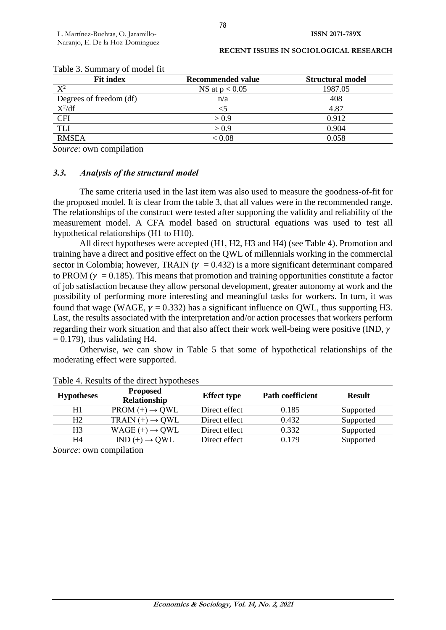| Table 3. Summary of model fit |                          |                         |  |  |  |
|-------------------------------|--------------------------|-------------------------|--|--|--|
| <b>Fit index</b>              | <b>Recommended value</b> | <b>Structural model</b> |  |  |  |
| $X^2$                         | NS at $p < 0.05$         | 1987.05                 |  |  |  |
| Degrees of freedom (df)       | n/a                      | 408                     |  |  |  |
| $X^2/df$                      | $<$ 5                    | 4.87                    |  |  |  |
| <b>CFI</b>                    | > 0.9                    | 0.912                   |  |  |  |
| <b>TLI</b>                    | > 0.9                    | 0.904                   |  |  |  |
| <b>RMSEA</b>                  | < 0.08                   | 0.058                   |  |  |  |

#### **RECENT ISSUES IN SOCIOLOGICAL RESEARCH**

*Source*: own compilation

#### *3.3. Analysis of the structural model*

The same criteria used in the last item was also used to measure the goodness-of-fit for the proposed model. It is clear from the table 3, that all values were in the recommended range. The relationships of the construct were tested after supporting the validity and reliability of the measurement model. A CFA model based on structural equations was used to test all hypothetical relationships (H1 to H10).

All direct hypotheses were accepted (H1, H2, H3 and H4) (see Table 4). Promotion and training have a direct and positive effect on the QWL of millennials working in the commercial sector in Colombia; however, TRAIN ( $\gamma = 0.432$ ) is a more significant determinant compared to PROM ( $v = 0.185$ ). This means that promotion and training opportunities constitute a factor of job satisfaction because they allow personal development, greater autonomy at work and the possibility of performing more interesting and meaningful tasks for workers. In turn, it was found that wage (WAGE,  $v = 0.332$ ) has a significant influence on OWL, thus supporting H3. Last, the results associated with the interpretation and/or action processes that workers perform regarding their work situation and that also affect their work well-being were positive (IND,  $\gamma$  $= 0.179$ ), thus validating H4.

Otherwise, we can show in Table 5 that some of hypothetical relationships of the moderating effect were supported.

| <b>Hypotheses</b> | <b>Proposed</b><br>Relationship | <b>Effect type</b> | <b>Path coefficient</b> | <b>Result</b> |
|-------------------|---------------------------------|--------------------|-------------------------|---------------|
| H1                | $PROM (+) \rightarrow OWL$      | Direct effect      | 0.185                   | Supported     |
| Η2                | TRAIN $(+) \rightarrow QWL$     | Direct effect      | 0.432                   | Supported     |
| H3                | WAGE $(+) \rightarrow QWL$      | Direct effect      | 0.332                   | Supported     |
| H4                | $IND (+)$<br>$\rightarrow$ OWL  | Direct effect      | 0.179                   | Supported     |

Table 4. Results of the direct hypotheses

*Source*: own compilation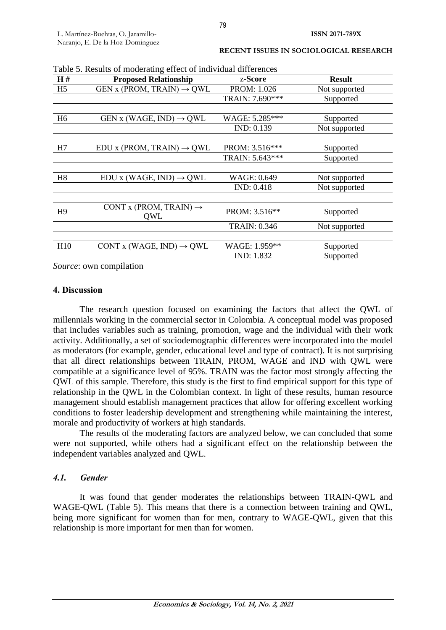| RECENT ISSUES IN SOCIOLOGICAL RESEARCH |  |  |
|----------------------------------------|--|--|
|----------------------------------------|--|--|

| H#             | <b>Proposed Relationship</b>              | z-Score             | <b>Result</b> |
|----------------|-------------------------------------------|---------------------|---------------|
| H <sub>5</sub> | GEN x (PROM, TRAIN) $\rightarrow$ QWL     | PROM: 1.026         | Not supported |
|                |                                           | TRAIN: 7.690***     | Supported     |
| H <sub>6</sub> | GEN x (WAGE, IND) $\rightarrow$ QWL       | WAGE: 5.285***      | Supported     |
|                |                                           | IND: 0.139          | Not supported |
| H7             | EDU x (PROM, TRAIN) $\rightarrow$ QWL     | PROM: 3.516***      | Supported     |
|                |                                           | TRAIN: 5.643***     | Supported     |
| H8             | EDU x (WAGE, IND) $\rightarrow$ QWL       | WAGE: 0.649         | Not supported |
|                |                                           | <b>IND: 0.418</b>   | Not supported |
| H <sub>9</sub> | CONT x (PROM, TRAIN) $\rightarrow$<br>QWL | PROM: 3.516**       | Supported     |
|                |                                           | <b>TRAIN: 0.346</b> | Not supported |
|                |                                           |                     |               |
| H10            | CONT x (WAGE, IND) $\rightarrow$ QWL      | WAGE: 1.959**       | Supported     |
|                |                                           | IND: 1.832          | Supported     |

|  | Table 5. Results of moderating effect of individual differences |
|--|-----------------------------------------------------------------|
|--|-----------------------------------------------------------------|

*Source*: own compilation

#### **4. Discussion**

The research question focused on examining the factors that affect the QWL of millennials working in the commercial sector in Colombia. A conceptual model was proposed that includes variables such as training, promotion, wage and the individual with their work activity. Additionally, a set of sociodemographic differences were incorporated into the model as moderators (for example, gender, educational level and type of contract). It is not surprising that all direct relationships between TRAIN, PROM, WAGE and IND with QWL were compatible at a significance level of 95%. TRAIN was the factor most strongly affecting the QWL of this sample. Therefore, this study is the first to find empirical support for this type of relationship in the QWL in the Colombian context. In light of these results, human resource management should establish management practices that allow for offering excellent working conditions to foster leadership development and strengthening while maintaining the interest, morale and productivity of workers at high standards.

The results of the moderating factors are analyzed below, we can concluded that some were not supported, while others had a significant effect on the relationship between the independent variables analyzed and QWL.

## *4.1. Gender*

It was found that gender moderates the relationships between TRAIN-QWL and WAGE-QWL (Table 5). This means that there is a connection between training and QWL, being more significant for women than for men, contrary to WAGE-QWL, given that this relationship is more important for men than for women.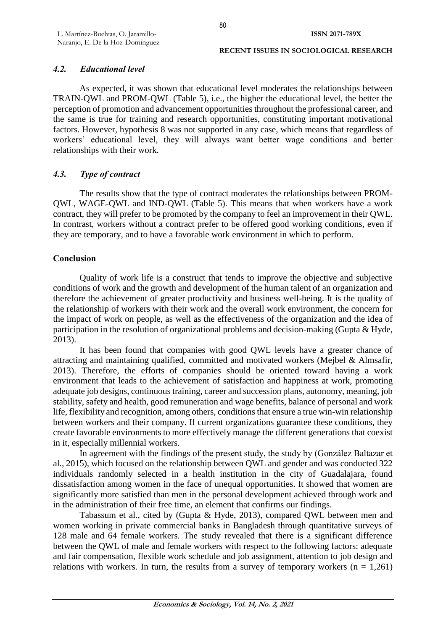# *4.2. Educational level*

As expected, it was shown that educational level moderates the relationships between TRAIN-QWL and PROM-QWL (Table 5), i.e., the higher the educational level, the better the perception of promotion and advancement opportunities throughout the professional career, and the same is true for training and research opportunities, constituting important motivational factors. However, hypothesis 8 was not supported in any case, which means that regardless of workers' educational level, they will always want better wage conditions and better relationships with their work.

# *4.3. Type of contract*

The results show that the type of contract moderates the relationships between PROM-QWL, WAGE-QWL and IND-QWL (Table 5). This means that when workers have a work contract, they will prefer to be promoted by the company to feel an improvement in their QWL. In contrast, workers without a contract prefer to be offered good working conditions, even if they are temporary, and to have a favorable work environment in which to perform.

# **Conclusion**

Quality of work life is a construct that tends to improve the objective and subjective conditions of work and the growth and development of the human talent of an organization and therefore the achievement of greater productivity and business well-being. It is the quality of the relationship of workers with their work and the overall work environment, the concern for the impact of work on people, as well as the effectiveness of the organization and the idea of participation in the resolution of organizational problems and decision-making (Gupta & Hyde, 2013).

It has been found that companies with good QWL levels have a greater chance of attracting and maintaining qualified, committed and motivated workers (Mejbel & Almsafir, 2013). Therefore, the efforts of companies should be oriented toward having a work environment that leads to the achievement of satisfaction and happiness at work, promoting adequate job designs, continuous training, career and succession plans, autonomy, meaning, job stability, safety and health, good remuneration and wage benefits, balance of personal and work life, flexibility and recognition, among others, conditions that ensure a true win-win relationship between workers and their company. If current organizations guarantee these conditions, they create favorable environments to more effectively manage the different generations that coexist in it, especially millennial workers.

In agreement with the findings of the present study, the study by (González Baltazar et al., 2015), which focused on the relationship between QWL and gender and was conducted 322 individuals randomly selected in a health institution in the city of Guadalajara, found dissatisfaction among women in the face of unequal opportunities. It showed that women are significantly more satisfied than men in the personal development achieved through work and in the administration of their free time, an element that confirms our findings.

Tabassum et al., cited by (Gupta & Hyde, 2013), compared QWL between men and women working in private commercial banks in Bangladesh through quantitative surveys of 128 male and 64 female workers. The study revealed that there is a significant difference between the QWL of male and female workers with respect to the following factors: adequate and fair compensation, flexible work schedule and job assignment, attention to job design and relations with workers. In turn, the results from a survey of temporary workers  $(n = 1,261)$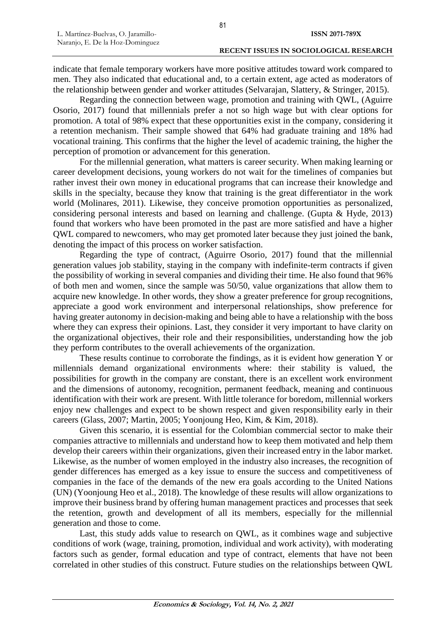indicate that female temporary workers have more positive attitudes toward work compared to men. They also indicated that educational and, to a certain extent, age acted as moderators of the relationship between gender and worker attitudes (Selvarajan, Slattery, & Stringer, 2015).

Regarding the connection between wage, promotion and training with QWL, (Aguirre Osorio, 2017) found that millennials prefer a not so high wage but with clear options for promotion. A total of 98% expect that these opportunities exist in the company, considering it a retention mechanism. Their sample showed that 64% had graduate training and 18% had vocational training. This confirms that the higher the level of academic training, the higher the perception of promotion or advancement for this generation.

For the millennial generation, what matters is career security. When making learning or career development decisions, young workers do not wait for the timelines of companies but rather invest their own money in educational programs that can increase their knowledge and skills in the specialty, because they know that training is the great differentiator in the work world (Molinares, 2011). Likewise, they conceive promotion opportunities as personalized, considering personal interests and based on learning and challenge. (Gupta & Hyde, 2013) found that workers who have been promoted in the past are more satisfied and have a higher QWL compared to newcomers, who may get promoted later because they just joined the bank, denoting the impact of this process on worker satisfaction.

Regarding the type of contract, (Aguirre Osorio, 2017) found that the millennial generation values job stability, staying in the company with indefinite-term contracts if given the possibility of working in several companies and dividing their time. He also found that 96% of both men and women, since the sample was 50/50, value organizations that allow them to acquire new knowledge. In other words, they show a greater preference for group recognitions, appreciate a good work environment and interpersonal relationships, show preference for having greater autonomy in decision-making and being able to have a relationship with the boss where they can express their opinions. Last, they consider it very important to have clarity on the organizational objectives, their role and their responsibilities, understanding how the job they perform contributes to the overall achievements of the organization.

These results continue to corroborate the findings, as it is evident how generation Y or millennials demand organizational environments where: their stability is valued, the possibilities for growth in the company are constant, there is an excellent work environment and the dimensions of autonomy, recognition, permanent feedback, meaning and continuous identification with their work are present. With little tolerance for boredom, millennial workers enjoy new challenges and expect to be shown respect and given responsibility early in their careers (Glass, 2007; Martin, 2005; Yoonjoung Heo, Kim, & Kim, 2018).

Given this scenario, it is essential for the Colombian commercial sector to make their companies attractive to millennials and understand how to keep them motivated and help them develop their careers within their organizations, given their increased entry in the labor market. Likewise, as the number of women employed in the industry also increases, the recognition of gender differences has emerged as a key issue to ensure the success and competitiveness of companies in the face of the demands of the new era goals according to the United Nations (UN) (Yoonjoung Heo et al., 2018). The knowledge of these results will allow organizations to improve their business brand by offering human management practices and processes that seek the retention, growth and development of all its members, especially for the millennial generation and those to come.

Last, this study adds value to research on QWL, as it combines wage and subjective conditions of work (wage, training, promotion, individual and work activity), with moderating factors such as gender, formal education and type of contract, elements that have not been correlated in other studies of this construct. Future studies on the relationships between QWL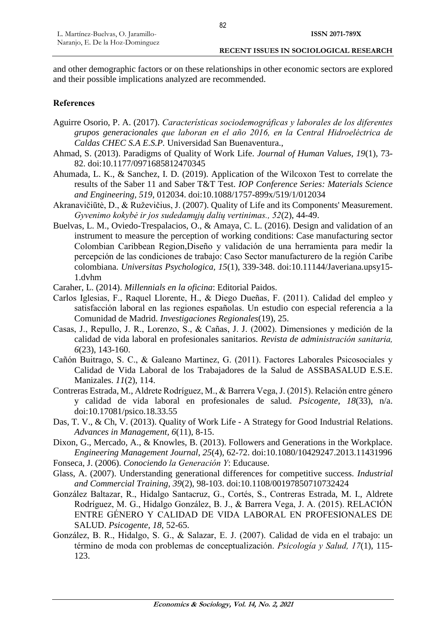and other demographic factors or on these relationships in other economic sectors are explored and their possible implications analyzed are recommended.

#### **References**

- Aguirre Osorio, P. A. (2017). *Características sociodemográficas y laborales de los diferentes grupos generacionales que laboran en el año 2016, en la Central Hidroeléctrica de Caldas CHEC S.A E.S.P.* Universidad San Buenaventura.,
- Ahmad, S. (2013). Paradigms of Quality of Work Life. *Journal of Human Values, 19*(1), 73- 82. doi:10.1177/0971685812470345
- Ahumada, L. K., & Sanchez, I. D. (2019). Application of the Wilcoxon Test to correlate the results of the Saber 11 and Saber T&T Test. *IOP Conference Series: Materials Science and Engineering, 519*, 012034. doi:10.1088/1757-899x/519/1/012034
- Akranavičiūtė, D., & Ruževičius, J. (2007). Quality of Life and its Components' Measurement. *Gyvenimo kokybė ir jos sudedamųjų dalių vertinimas., 52*(2), 44-49.
- Buelvas, L. M., Oviedo-Trespalacios, O., & Amaya, C. L. (2016). Design and validation of an instrument to measure the perception of working conditions: Case manufacturing sector Colombian Caribbean Region,Diseño y validación de una herramienta para medir la percepción de las condiciones de trabajo: Caso Sector manufacturero de la región Caribe colombiana. *Universitas Psychologica, 15*(1), 339-348. doi:10.11144/Javeriana.upsy15- 1.dvhm
- Caraher, L. (2014). *Millennials en la oficina*: Editorial Paidos.
- Carlos Iglesias, F., Raquel Llorente, H., & Diego Dueñas, F. (2011). Calidad del empleo y satisfacción laboral en las regiones españolas. Un estudio con especial referencia a la Comunidad de Madrid. *Investigaciones Regionales*(19), 25.
- Casas, J., Repullo, J. R., Lorenzo, S., & Cañas, J. J. (2002). Dimensiones y medición de la calidad de vida laboral en profesionales sanitarios. *Revista de administración sanitaria, 6*(23), 143-160.
- Cañón Buitrago, S. C., & Galeano Martinez, G. (2011). Factores Laborales Psicosociales y Calidad de Vida Laboral de los Trabajadores de la Salud de ASSBASALUD E.S.E. Manizales. *11*(2), 114.
- Contreras Estrada, M., Aldrete Rodríguez, M., & Barrera Vega, J. (2015). Relación entre género y calidad de vida laboral en profesionales de salud. *Psicogente, 18*(33), n/a. doi:10.17081/psico.18.33.55
- Das, T. V., & Ch, V. (2013). Quality of Work Life A Strategy for Good Industrial Relations. *Advances in Management, 6*(11), 8-15.
- Dixon, G., Mercado, A., & Knowles, B. (2013). Followers and Generations in the Workplace. *Engineering Management Journal, 25*(4), 62-72. doi:10.1080/10429247.2013.11431996
- Fonseca, J. (2006). *Conociendo la Generación Y*: Educause.
- Glass, A. (2007). Understanding generational differences for competitive success. *Industrial and Commercial Training, 39*(2), 98-103. doi:10.1108/00197850710732424
- González Baltazar, R., Hidalgo Santacruz, G., Cortés, S., Contreras Estrada, M. I., Aldrete Rodríguez, M. G., Hidalgo González, B. J., & Barrera Vega, J. A. (2015). RELACIÓN ENTRE GÉNERO Y CALIDAD DE VIDA LABORAL EN PROFESIONALES DE SALUD. *Psicogente, 18*, 52-65.
- González, B. R., Hidalgo, S. G., & Salazar, E. J. (2007). Calidad de vida en el trabajo: un término de moda con problemas de conceptualización. *Psicología y Salud, 17*(1), 115- 123.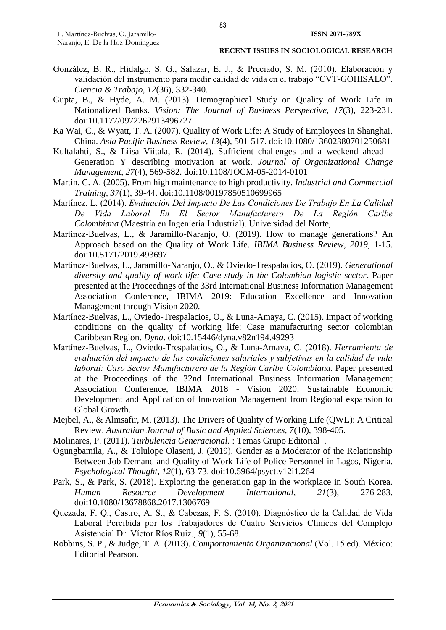- González, B. R., Hidalgo, S. G., Salazar, E. J., & Preciado, S. M. (2010). Elaboración y validación del instrumento para medir calidad de vida en el trabajo "CVT-GOHISALO". *Ciencia & Trabajo, 12*(36), 332-340.
- Gupta, B., & Hyde, A. M. (2013). Demographical Study on Quality of Work Life in Nationalized Banks. *Vision: The Journal of Business Perspective, 17*(3), 223-231. doi:10.1177/0972262913496727
- Ka Wai, C., & Wyatt, T. A. (2007). Quality of Work Life: A Study of Employees in Shanghai, China. *Asia Pacific Business Review, 13*(4), 501-517. doi:10.1080/13602380701250681
- Kultalahti, S., & Liisa Viitala, R. (2014). Sufficient challenges and a weekend ahead Generation Y describing motivation at work. *Journal of Organizational Change Management, 27*(4), 569-582. doi:10.1108/JOCM-05-2014-0101
- Martin, C. A. (2005). From high maintenance to high productivity. *Industrial and Commercial Training, 37*(1), 39-44. doi:10.1108/00197850510699965
- Martínez, L. (2014). *Evaluación Del Impacto De Las Condiciones De Trabajo En La Calidad De Vida Laboral En El Sector Manufacturero De La Región Caribe Colombiana* (Maestría en Ingeniería Industrial). Universidad del Norte,
- Martínez-Buelvas, L., & Jaramillo-Naranjo, O. (2019). How to manage generations? An Approach based on the Quality of Work Life. *IBIMA Business Review, 2019*, 1-15. doi:10.5171/2019.493697
- Martínez-Buelvas, L., Jaramillo-Naranjo, O., & Oviedo-Trespalacios, O. (2019). *Generational diversity and quality of work life: Case study in the Colombian logistic sector*. Paper presented at the Proceedings of the 33rd International Business Information Management Association Conference, IBIMA 2019: Education Excellence and Innovation Management through Vision 2020.
- Martínez-Buelvas, L., Oviedo-Trespalacios, O., & Luna-Amaya, C. (2015). Impact of working conditions on the quality of working life: Case manufacturing sector colombian Caribbean Region. *Dyna*. doi:10.15446/dyna.v82n194.49293
- Martínez-Buelvas, L., Oviedo-Trespalacios, O., & Luna-Amaya, C. (2018). *Herramienta de evaluación del impacto de las condiciones salariales y subjetivas en la calidad de vida laboral: Caso Sector Manufacturero de la Región Caribe Colombiana.* Paper presented at the Proceedings of the 32nd International Business Information Management Association Conference, IBIMA 2018 - Vision 2020: Sustainable Economic Development and Application of Innovation Management from Regional expansion to Global Growth.
- Mejbel, A., & Almsafir, M. (2013). The Drivers of Quality of Working Life (QWL): A Critical Review. *Australian Journal of Basic and Applied Sciences, 7*(10), 398-405.
- Molinares, P. (2011). *Turbulencia Generacional.* : Temas Grupo Editorial .
- Ogungbamila, A., & Tolulope Olaseni, J. (2019). Gender as a Moderator of the Relationship Between Job Demand and Quality of Work-Life of Police Personnel in Lagos, Nigeria. *Psychological Thought, 12*(1), 63-73. doi:10.5964/psyct.v12i1.264
- Park, S., & Park, S. (2018). Exploring the generation gap in the workplace in South Korea. *Human Resource Development International, 21*(3), 276-283. doi:10.1080/13678868.2017.1306769
- Quezada, F. Q., Castro, A. S., & Cabezas, F. S. (2010). Diagnóstico de la Calidad de Vida Laboral Percibida por los Trabajadores de Cuatro Servicios Clínicos del Complejo Asistencial Dr. Víctor Ríos Ruiz.*, 9*(1), 55-68.
- Robbins, S. P., & Judge, T. A. (2013). *Comportamiento Organizacional* (Vol. 15 ed). México: Editorial Pearson.